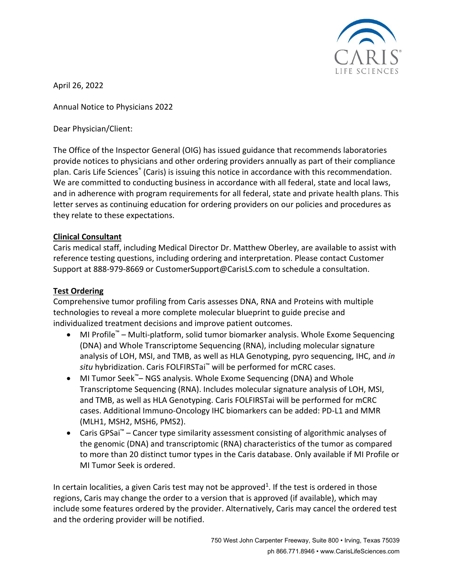

April 26, 2022

Annual Notice to Physicians 2022

Dear Physician/Client:

The Office of the Inspector General (OIG) has issued guidance that recommends laboratories provide notices to physicians and other ordering providers annually as part of their compliance plan. Caris Life Sciences® (Caris) is issuing this notice in accordance with this recommendation. We are committed to conducting business in accordance with all federal, state and local laws, and in adherence with program requirements for all federal, state and private health plans. This letter serves as continuing education for ordering providers on our policies and procedures as they relate to these expectations.

### **Clinical Consultant**

Caris medical staff, including Medical Director Dr. Matthew Oberley, are available to assist with reference testing questions, including ordering and interpretation. Please contact Customer Support at 888-979-8669 or CustomerSupport@CarisLS.com to schedule a consultation.

### **Test Ordering**

Comprehensive tumor profiling from Caris assesses DNA, RNA and Proteins with multiple technologies to reveal a more complete molecular blueprint to guide precise and individualized treatment decisions and improve patient outcomes.

- MI Profile™ Multi-platform, solid tumor biomarker analysis. Whole Exome Sequencing (DNA) and Whole Transcriptome Sequencing (RNA), including molecular signature analysis of LOH, MSI, and TMB, as well as HLA Genotyping, pyro sequencing, IHC, and *in situ* hybridization. Caris FOLFIRSTai™ will be performed for mCRC cases.
- MI Tumor Seek™– NGS analysis. Whole Exome Sequencing (DNA) and Whole Transcriptome Sequencing (RNA). Includes molecular signature analysis of LOH, MSI, and TMB, as well as HLA Genotyping. Caris FOLFIRSTai will be performed for mCRC cases. Additional Immuno-Oncology IHC biomarkers can be added: PD-L1 and MMR (MLH1, MSH2, MSH6, PMS2).
- Caris GPSai™ Cancer type similarity assessment consisting of algorithmic analyses of the genomic (DNA) and transcriptomic (RNA) characteristics of the tumor as compared to more than 20 distinct tumor types in the Caris database. Only available if MI Profile or MI Tumor Seek is ordered.

In certain localities, a given Caris test may not be approved<sup>1</sup>. If the test is ordered in those regions, Caris may change the order to a version that is approved (if available), which may include some features ordered by the provider. Alternatively, Caris may cancel the ordered test and the ordering provider will be notified.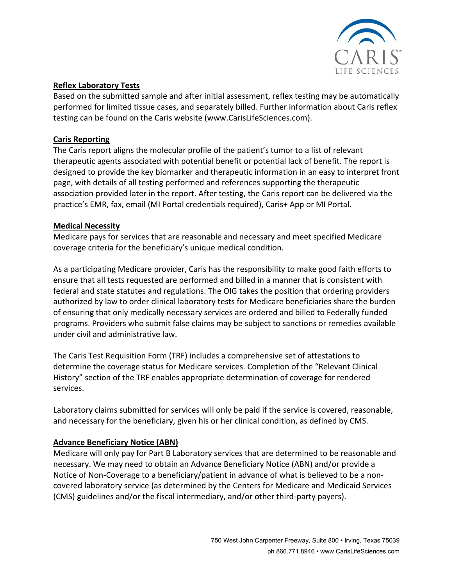

### **Reflex Laboratory Tests**

Based on the submitted sample and after initial assessment, reflex testing may be automatically performed for limited tissue cases, and separately billed. Further information about Caris reflex testing can be found on the Caris website (www.CarisLifeSciences.com).

# **Caris Reporting**

The Caris report aligns the molecular profile of the patient's tumor to a list of relevant therapeutic agents associated with potential benefit or potential lack of benefit. The report is designed to provide the key biomarker and therapeutic information in an easy to interpret front page, with details of all testing performed and references supporting the therapeutic association provided later in the report. After testing, the Caris report can be delivered via the practice's EMR, fax, email (MI Portal credentials required), Caris+ App or MI Portal.

# **Medical Necessity**

Medicare pays for services that are reasonable and necessary and meet specified Medicare coverage criteria for the beneficiary's unique medical condition.

As a participating Medicare provider, Caris has the responsibility to make good faith efforts to ensure that all tests requested are performed and billed in a manner that is consistent with federal and state statutes and regulations. The OIG takes the position that ordering providers authorized by law to order clinical laboratory tests for Medicare beneficiaries share the burden of ensuring that only medically necessary services are ordered and billed to Federally funded programs. Providers who submit false claims may be subject to sanctions or remedies available under civil and administrative law.

The Caris Test Requisition Form (TRF) includes a comprehensive set of attestations to determine the coverage status for Medicare services. Completion of the "Relevant Clinical History" section of the TRF enables appropriate determination of coverage for rendered services.

Laboratory claims submitted for services will only be paid if the service is covered, reasonable, and necessary for the beneficiary, given his or her clinical condition, as defined by CMS.

# **Advance Beneficiary Notice (ABN)**

Medicare will only pay for Part B Laboratory services that are determined to be reasonable and necessary. We may need to obtain an Advance Beneficiary Notice (ABN) and/or provide a Notice of Non-Coverage to a beneficiary/patient in advance of what is believed to be a noncovered laboratory service (as determined by the Centers for Medicare and Medicaid Services (CMS) guidelines and/or the fiscal intermediary, and/or other third-party payers).